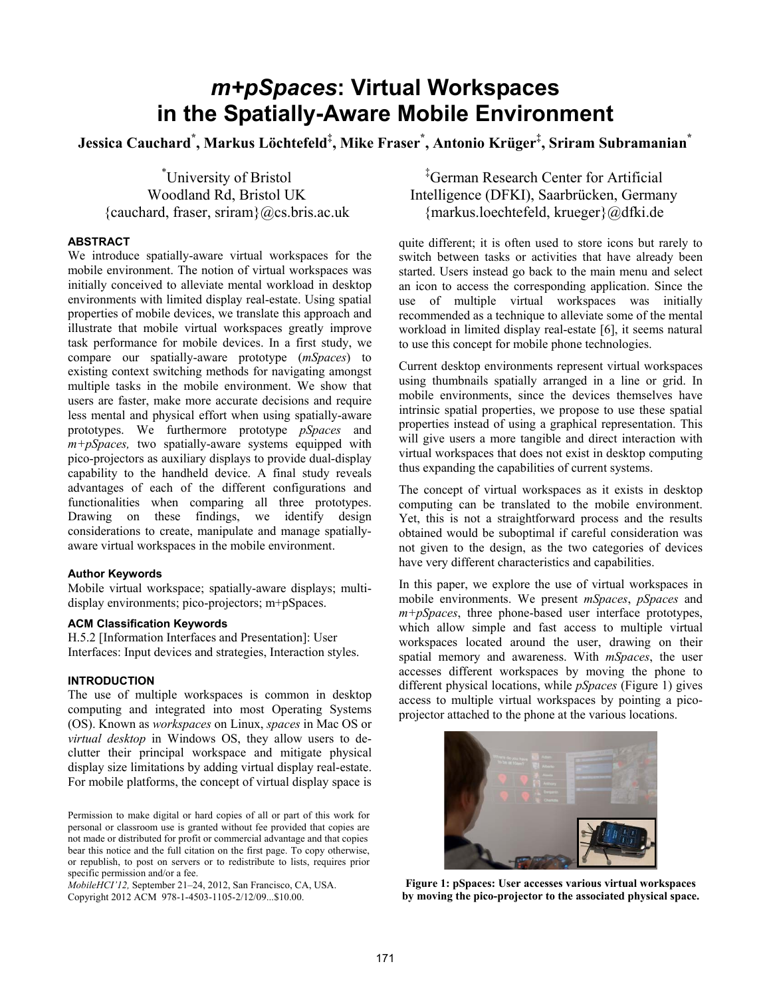# *m+pSpaces***: Virtual Workspaces in the Spatially-Aware Mobile Environment**

**Jessica Cauchard\* , Markus Löchtefeld‡ , Mike Fraser\* , Antonio Krüger‡ , Sriram Subramanian\***

\* University of Bristol Woodland Rd, Bristol UK  ${cauchard, fraser, siriam}$  $@cs.bris.ac.uk$ 

# **ABSTRACT**

We introduce spatially-aware virtual workspaces for the mobile environment. The notion of virtual workspaces was initially conceived to alleviate mental workload in desktop environments with limited display real-estate. Using spatial properties of mobile devices, we translate this approach and illustrate that mobile virtual workspaces greatly improve task performance for mobile devices. In a first study, we compare our spatially-aware prototype (*mSpaces*) to existing context switching methods for navigating amongst multiple tasks in the mobile environment. We show that users are faster, make more accurate decisions and require less mental and physical effort when using spatially-aware prototypes. We furthermore prototype *pSpaces* and *m+pSpaces,* two spatially-aware systems equipped with pico-projectors as auxiliary displays to provide dual-display capability to the handheld device. A final study reveals advantages of each of the different configurations and functionalities when comparing all three prototypes. Drawing on these findings, we identify design considerations to create, manipulate and manage spatiallyaware virtual workspaces in the mobile environment.

# **Author Keywords**

Mobile virtual workspace; spatially-aware displays; multidisplay environments; pico-projectors; m+pSpaces.

# **ACM Classification Keywords**

H.5.2 [Information Interfaces and Presentation]: User Interfaces: Input devices and strategies, Interaction styles.

# **INTRODUCTION**

The use of multiple workspaces is common in desktop computing and integrated into most Operating Systems (OS). Known as *workspaces* on Linux, *spaces* in Mac OS or *virtual desktop* in Windows OS, they allow users to declutter their principal workspace and mitigate physical display size limitations by adding virtual display real-estate. For mobile platforms, the concept of virtual display space is

*MobileHCI'12,* September 21–24, 2012, San Francisco, CA, USA. Copyright 2012 ACM 978-1-4503-1105-2/12/09...\$10.00.

‡ German Research Center for Artificial Intelligence (DFKI), Saarbrücken, Germany {markus.loechtefeld, krueger}@dfki.de

quite different; it is often used to store icons but rarely to switch between tasks or activities that have already been started. Users instead go back to the main menu and select an icon to access the corresponding application. Since the use of multiple virtual workspaces was initially recommended as a technique to alleviate some of the mental workload in limited display real-estate [6], it seems natural to use this concept for mobile phone technologies.

Current desktop environments represent virtual workspaces using thumbnails spatially arranged in a line or grid. In mobile environments, since the devices themselves have intrinsic spatial properties, we propose to use these spatial properties instead of using a graphical representation. This will give users a more tangible and direct interaction with virtual workspaces that does not exist in desktop computing thus expanding the capabilities of current systems.

The concept of virtual workspaces as it exists in desktop computing can be translated to the mobile environment. Yet, this is not a straightforward process and the results obtained would be suboptimal if careful consideration was not given to the design, as the two categories of devices have very different characteristics and capabilities.

In this paper, we explore the use of virtual workspaces in mobile environments. We present *mSpaces*, *pSpaces* and *m+pSpaces*, three phone-based user interface prototypes, which allow simple and fast access to multiple virtual workspaces located around the user, drawing on their spatial memory and awareness. With *mSpaces*, the user accesses different workspaces by moving the phone to different physical locations, while *pSpaces* (Figure 1) gives access to multiple virtual workspaces by pointing a picoprojector attached to the phone at the various locations.



**Figure 1: pSpaces: User accesses various virtual workspaces by moving the pico-projector to the associated physical space.** 

Permission to make digital or hard copies of all or part of this work for personal or classroom use is granted without fee provided that copies are not made or distributed for profit or commercial advantage and that copies bear this notice and the full citation on the first page. To copy otherwise, or republish, to post on servers or to redistribute to lists, requires prior specific permission and/or a fee.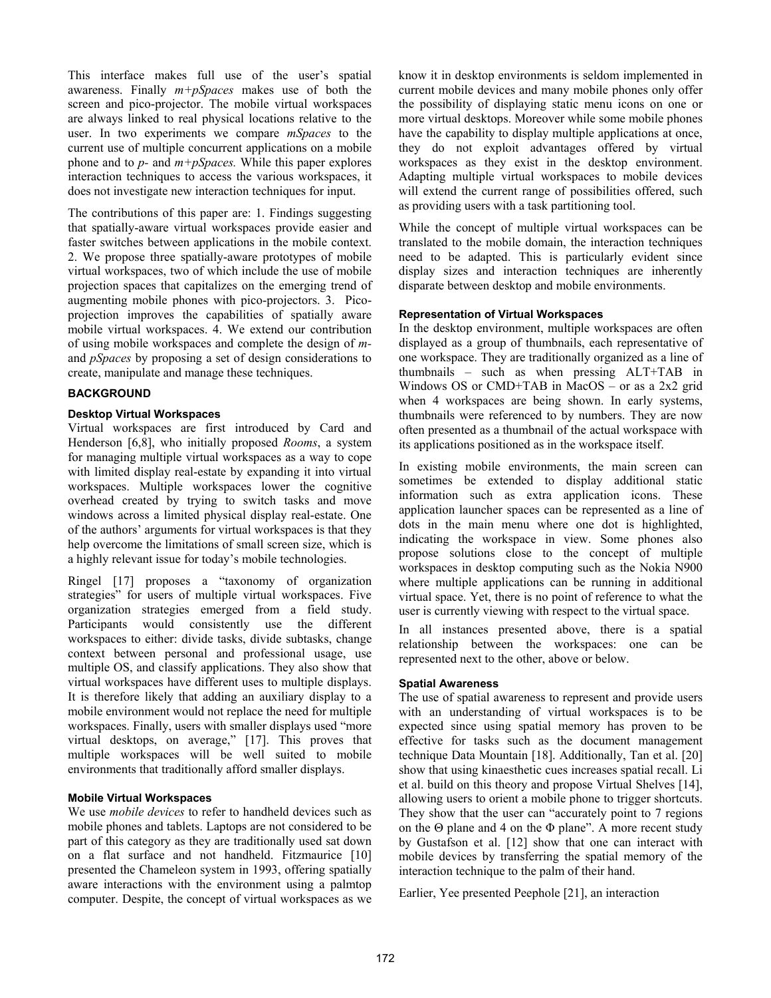This interface makes full use of the user's spatial awareness. Finally *m+pSpaces* makes use of both the screen and pico-projector. The mobile virtual workspaces are always linked to real physical locations relative to the user. In two experiments we compare *mSpaces* to the current use of multiple concurrent applications on a mobile phone and to *p-* and *m+pSpaces.* While this paper explores interaction techniques to access the various workspaces, it does not investigate new interaction techniques for input.

The contributions of this paper are: 1. Findings suggesting that spatially-aware virtual workspaces provide easier and faster switches between applications in the mobile context. 2. We propose three spatially-aware prototypes of mobile virtual workspaces, two of which include the use of mobile projection spaces that capitalizes on the emerging trend of augmenting mobile phones with pico-projectors. 3. Picoprojection improves the capabilities of spatially aware mobile virtual workspaces. 4. We extend our contribution of using mobile workspaces and complete the design of *m*and *pSpaces* by proposing a set of design considerations to create, manipulate and manage these techniques.

# **BACKGROUND**

# **Desktop Virtual Workspaces**

Virtual workspaces are first introduced by Card and Henderson [6,8], who initially proposed *Rooms*, a system for managing multiple virtual workspaces as a way to cope with limited display real-estate by expanding it into virtual workspaces. Multiple workspaces lower the cognitive overhead created by trying to switch tasks and move windows across a limited physical display real-estate. One of the authors' arguments for virtual workspaces is that they help overcome the limitations of small screen size, which is a highly relevant issue for today's mobile technologies.

Ringel [17] proposes a "taxonomy of organization strategies" for users of multiple virtual workspaces. Five organization strategies emerged from a field study. Participants would consistently use the different workspaces to either: divide tasks, divide subtasks, change context between personal and professional usage, use multiple OS, and classify applications. They also show that virtual workspaces have different uses to multiple displays. It is therefore likely that adding an auxiliary display to a mobile environment would not replace the need for multiple workspaces. Finally, users with smaller displays used "more virtual desktops, on average," [17]. This proves that multiple workspaces will be well suited to mobile environments that traditionally afford smaller displays.

# **Mobile Virtual Workspaces**

We use *mobile devices* to refer to handheld devices such as mobile phones and tablets. Laptops are not considered to be part of this category as they are traditionally used sat down on a flat surface and not handheld. Fitzmaurice [10] presented the Chameleon system in 1993, offering spatially aware interactions with the environment using a palmtop computer. Despite, the concept of virtual workspaces as we know it in desktop environments is seldom implemented in current mobile devices and many mobile phones only offer the possibility of displaying static menu icons on one or more virtual desktops. Moreover while some mobile phones have the capability to display multiple applications at once, they do not exploit advantages offered by virtual workspaces as they exist in the desktop environment. Adapting multiple virtual workspaces to mobile devices will extend the current range of possibilities offered, such as providing users with a task partitioning tool.

While the concept of multiple virtual workspaces can be translated to the mobile domain, the interaction techniques need to be adapted. This is particularly evident since display sizes and interaction techniques are inherently disparate between desktop and mobile environments.

# **Representation of Virtual Workspaces**

In the desktop environment, multiple workspaces are often displayed as a group of thumbnails, each representative of one workspace. They are traditionally organized as a line of thumbnails – such as when pressing ALT+TAB in Windows OS or CMD+TAB in MacOS – or as a 2x2 grid when 4 workspaces are being shown. In early systems, thumbnails were referenced to by numbers. They are now often presented as a thumbnail of the actual workspace with its applications positioned as in the workspace itself.

In existing mobile environments, the main screen can sometimes be extended to display additional static information such as extra application icons. These application launcher spaces can be represented as a line of dots in the main menu where one dot is highlighted, indicating the workspace in view. Some phones also propose solutions close to the concept of multiple workspaces in desktop computing such as the Nokia N900 where multiple applications can be running in additional virtual space. Yet, there is no point of reference to what the user is currently viewing with respect to the virtual space.

In all instances presented above, there is a spatial relationship between the workspaces: one can be represented next to the other, above or below.

# **Spatial Awareness**

The use of spatial awareness to represent and provide users with an understanding of virtual workspaces is to be expected since using spatial memory has proven to be effective for tasks such as the document management technique Data Mountain [18]. Additionally, Tan et al. [20] show that using kinaesthetic cues increases spatial recall. Li et al. build on this theory and propose Virtual Shelves [14], allowing users to orient a mobile phone to trigger shortcuts. They show that the user can "accurately point to 7 regions on the  $\Theta$  plane and 4 on the  $\Phi$  plane". A more recent study by Gustafson et al. [12] show that one can interact with mobile devices by transferring the spatial memory of the interaction technique to the palm of their hand.

Earlier, Yee presented Peephole [21], an interaction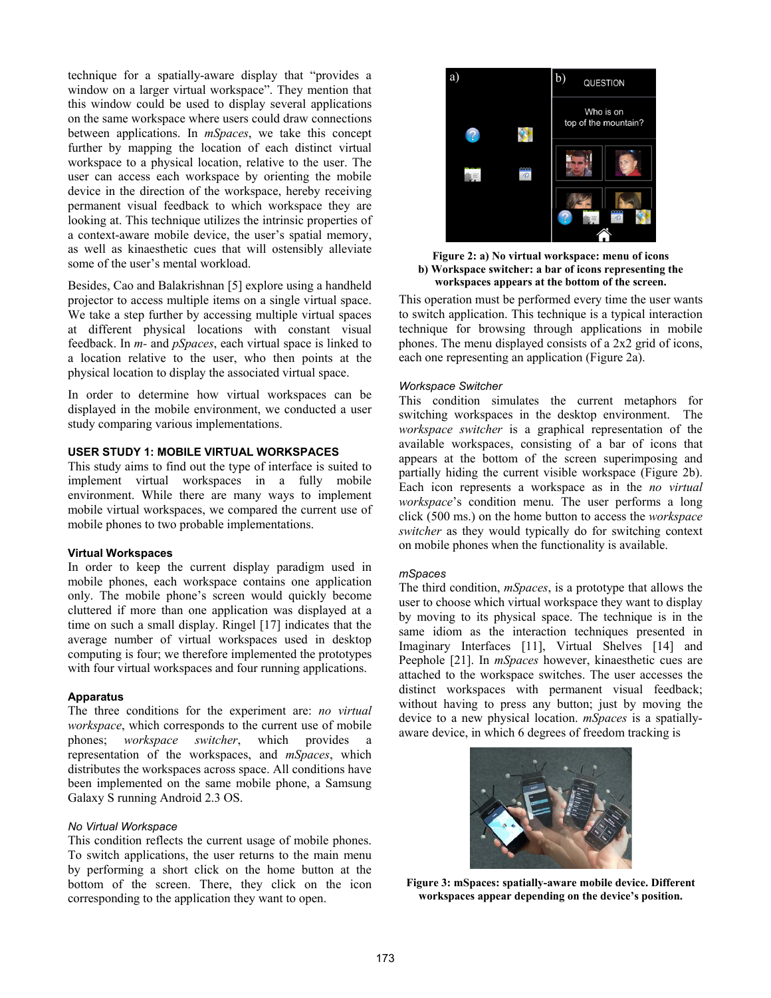technique for a spatially-aware display that "provides a window on a larger virtual workspace". They mention that this window could be used to display several applications on the same workspace where users could draw connections between applications. In *mSpaces*, we take this concept further by mapping the location of each distinct virtual workspace to a physical location, relative to the user. The user can access each workspace by orienting the mobile device in the direction of the workspace, hereby receiving permanent visual feedback to which workspace they are looking at. This technique utilizes the intrinsic properties of a context-aware mobile device, the user's spatial memory, as well as kinaesthetic cues that will ostensibly alleviate some of the user's mental workload.

Besides, Cao and Balakrishnan [5] explore using a handheld projector to access multiple items on a single virtual space. We take a step further by accessing multiple virtual spaces at different physical locations with constant visual feedback. In *m-* and *pSpaces*, each virtual space is linked to a location relative to the user, who then points at the physical location to display the associated virtual space.

In order to determine how virtual workspaces can be displayed in the mobile environment, we conducted a user study comparing various implementations.

# **USER STUDY 1: MOBILE VIRTUAL WORKSPACES**

This study aims to find out the type of interface is suited to implement virtual workspaces in a fully mobile environment. While there are many ways to implement mobile virtual workspaces, we compared the current use of mobile phones to two probable implementations.

### **Virtual Workspaces**

In order to keep the current display paradigm used in mobile phones, each workspace contains one application only. The mobile phone's screen would quickly become cluttered if more than one application was displayed at a time on such a small display. Ringel [17] indicates that the average number of virtual workspaces used in desktop computing is four; we therefore implemented the prototypes with four virtual workspaces and four running applications.

### **Apparatus**

The three conditions for the experiment are: *no virtual workspace*, which corresponds to the current use of mobile phones; *workspace switcher*, which provides a representation of the workspaces, and *mSpaces*, which distributes the workspaces across space. All conditions have been implemented on the same mobile phone, a Samsung Galaxy S running Android 2.3 OS.

### *No Virtual Workspace*

This condition reflects the current usage of mobile phones. To switch applications, the user returns to the main menu by performing a short click on the home button at the bottom of the screen. There, they click on the icon corresponding to the application they want to open.



**Figure 2: a) No virtual workspace: menu of icons b) Workspace switcher: a bar of icons representing the workspaces appears at the bottom of the screen.** 

This operation must be performed every time the user wants to switch application. This technique is a typical interaction technique for browsing through applications in mobile phones. The menu displayed consists of a 2x2 grid of icons, each one representing an application (Figure 2a).

### *Workspace Switcher*

This condition simulates the current metaphors for switching workspaces in the desktop environment. The *workspace switcher* is a graphical representation of the available workspaces, consisting of a bar of icons that appears at the bottom of the screen superimposing and partially hiding the current visible workspace (Figure 2b). Each icon represents a workspace as in the *no virtual workspace*'s condition menu. The user performs a long click (500 ms.) on the home button to access the *workspace switcher* as they would typically do for switching context on mobile phones when the functionality is available.

### *mSpaces*

The third condition, *mSpaces*, is a prototype that allows the user to choose which virtual workspace they want to display by moving to its physical space. The technique is in the same idiom as the interaction techniques presented in Imaginary Interfaces [11], Virtual Shelves [14] and Peephole [21]. In *mSpaces* however, kinaesthetic cues are attached to the workspace switches. The user accesses the distinct workspaces with permanent visual feedback; without having to press any button; just by moving the device to a new physical location. *mSpaces* is a spatiallyaware device, in which 6 degrees of freedom tracking is



**Figure 3: mSpaces: spatially-aware mobile device. Different workspaces appear depending on the device's position.**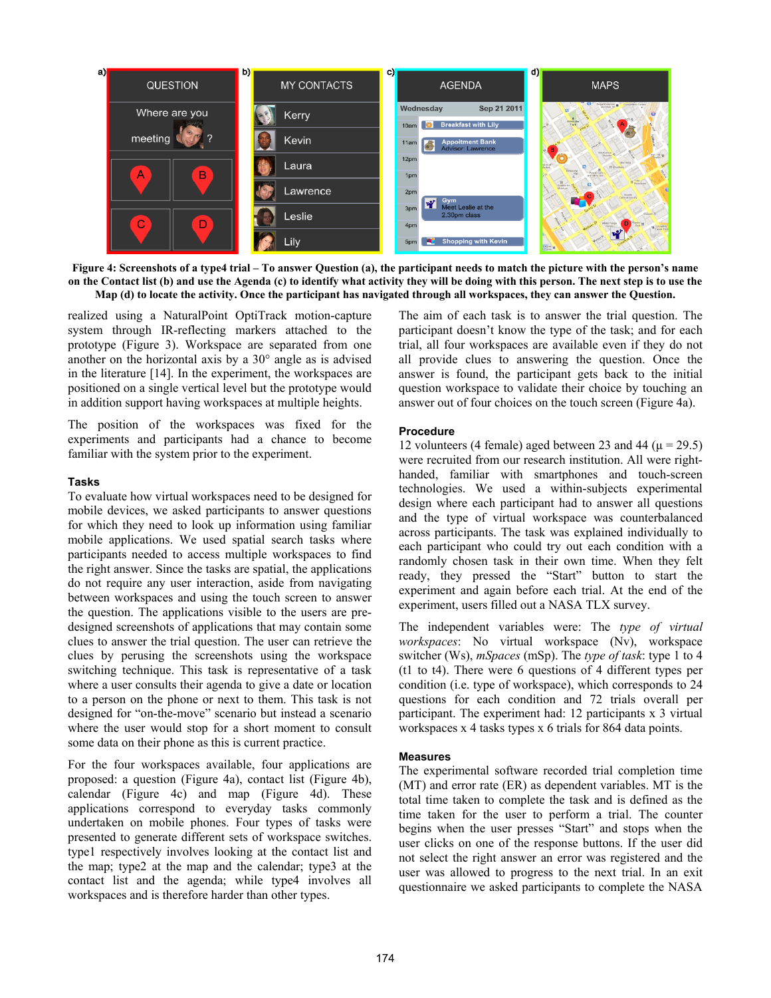

**Figure 4: Screenshots of a type4 trial – To answer Question (a), the participant needs to match the picture with the person's name on the Contact list (b) and use the Agenda (c) to identify what activity they will be doing with this person. The next step is to use the Map (d) to locate the activity. Once the participant has navigated through all workspaces, they can answer the Question.**

realized using a NaturalPoint OptiTrack motion-capture system through IR-reflecting markers attached to the prototype (Figure 3). Workspace are separated from one another on the horizontal axis by a 30° angle as is advised in the literature [14]. In the experiment, the workspaces are positioned on a single vertical level but the prototype would in addition support having workspaces at multiple heights.

The position of the workspaces was fixed for the experiments and participants had a chance to become familiar with the system prior to the experiment.

# **Tasks**

To evaluate how virtual workspaces need to be designed for mobile devices, we asked participants to answer questions for which they need to look up information using familiar mobile applications. We used spatial search tasks where participants needed to access multiple workspaces to find the right answer. Since the tasks are spatial, the applications do not require any user interaction, aside from navigating between workspaces and using the touch screen to answer the question. The applications visible to the users are predesigned screenshots of applications that may contain some clues to answer the trial question. The user can retrieve the clues by perusing the screenshots using the workspace switching technique. This task is representative of a task where a user consults their agenda to give a date or location to a person on the phone or next to them. This task is not designed for "on-the-move" scenario but instead a scenario where the user would stop for a short moment to consult some data on their phone as this is current practice.

For the four workspaces available, four applications are proposed: a question (Figure 4a), contact list (Figure 4b), calendar (Figure 4c) and map (Figure 4d). These applications correspond to everyday tasks commonly undertaken on mobile phones. Four types of tasks were presented to generate different sets of workspace switches. type1 respectively involves looking at the contact list and the map; type2 at the map and the calendar; type3 at the contact list and the agenda; while type4 involves all workspaces and is therefore harder than other types.

The aim of each task is to answer the trial question. The participant doesn't know the type of the task; and for each trial, all four workspaces are available even if they do not all provide clues to answering the question. Once the answer is found, the participant gets back to the initial question workspace to validate their choice by touching an answer out of four choices on the touch screen (Figure 4a).

### **Procedure**

12 volunteers (4 female) aged between 23 and 44 ( $\mu$  = 29.5) were recruited from our research institution. All were righthanded, familiar with smartphones and touch-screen technologies. We used a within-subjects experimental design where each participant had to answer all questions and the type of virtual workspace was counterbalanced across participants. The task was explained individually to each participant who could try out each condition with a randomly chosen task in their own time. When they felt ready, they pressed the "Start" button to start the experiment and again before each trial. At the end of the experiment, users filled out a NASA TLX survey.

The independent variables were: The *type of virtual workspaces*: No virtual workspace (Nv), workspace switcher (Ws), *mSpaces* (mSp). The *type of task*: type 1 to 4 (t1 to t4). There were 6 questions of 4 different types per condition (i.e. type of workspace), which corresponds to 24 questions for each condition and 72 trials overall per participant. The experiment had: 12 participants x 3 virtual workspaces x 4 tasks types x 6 trials for 864 data points.

### **Measures**

The experimental software recorded trial completion time (MT) and error rate (ER) as dependent variables. MT is the total time taken to complete the task and is defined as the time taken for the user to perform a trial. The counter begins when the user presses "Start" and stops when the user clicks on one of the response buttons. If the user did not select the right answer an error was registered and the user was allowed to progress to the next trial. In an exit questionnaire we asked participants to complete the NASA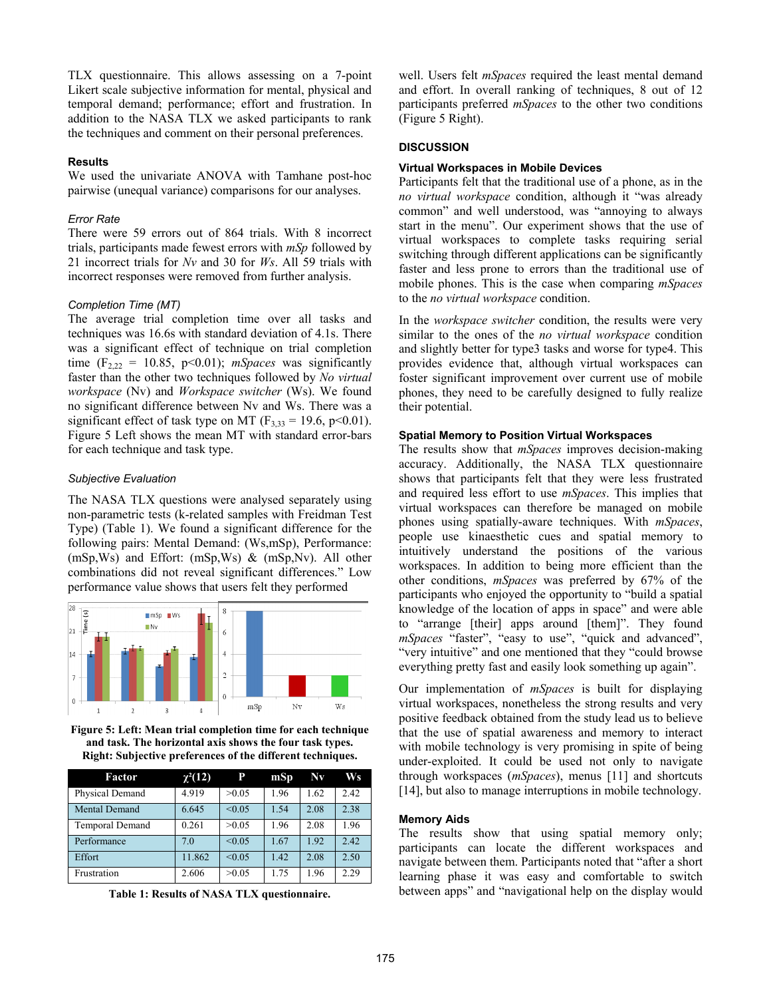TLX questionnaire. This allows assessing on a 7-point Likert scale subjective information for mental, physical and temporal demand; performance; effort and frustration. In addition to the NASA TLX we asked participants to rank the techniques and comment on their personal preferences.

### **Results**

We used the univariate ANOVA with Tamhane post-hoc pairwise (unequal variance) comparisons for our analyses.

# *Error Rate*

There were 59 errors out of 864 trials. With 8 incorrect trials, participants made fewest errors with *mSp* followed by 21 incorrect trials for *Nv* and 30 for *Ws*. All 59 trials with incorrect responses were removed from further analysis.

# *Completion Time (MT)*

The average trial completion time over all tasks and techniques was 16.6s with standard deviation of 4.1s. There was a significant effect of technique on trial completion time  $(F_{2,22} = 10.85, p<0.01)$ ; *mSpaces* was significantly faster than the other two techniques followed by *No virtual workspace* (Nv) and *Workspace switcher* (Ws). We found no significant difference between Nv and Ws. There was a significant effect of task type on MT ( $F_{3,33} = 19.6$ , p<0.01). Figure 5 Left shows the mean MT with standard error-bars for each technique and task type.

# *Subjective Evaluation*

The NASA TLX questions were analysed separately using non-parametric tests (k-related samples with Freidman Test Type) (Table 1). We found a significant difference for the following pairs: Mental Demand: (Ws,mSp), Performance: (mSp,Ws) and Effort: (mSp,Ws) & (mSp,Nv). All other combinations did not reveal significant differences." Low performance value shows that users felt they performed



**Figure 5: Left: Mean trial completion time for each technique and task. The horizontal axis shows the four task types. Right: Subjective preferences of the different techniques.** 

| Factor                 | $\chi^2(12)$ | P      | $\mathbf{mSp}$ | Nv   | Ws   |
|------------------------|--------------|--------|----------------|------|------|
| Physical Demand        | 4.919        | >0.05  | 1.96           | 1.62 | 2.42 |
| <b>Mental Demand</b>   | 6.645        | < 0.05 | 1.54           | 2.08 | 2.38 |
| <b>Temporal Demand</b> | 0.261        | >0.05  | 1.96           | 2.08 | 1.96 |
| Performance            | 7.0          | < 0.05 | 1.67           | 1.92 | 2.42 |
| Effort                 | 11.862       | < 0.05 | 1.42           | 2.08 | 2.50 |
| Frustration            | 2.606        | >0.05  | 1.75           | 1.96 | 2.29 |

**Table 1: Results of NASA TLX questionnaire.** 

well. Users felt *mSpaces* required the least mental demand and effort. In overall ranking of techniques, 8 out of 12 participants preferred *mSpaces* to the other two conditions (Figure 5 Right).

# **DISCUSSION**

# **Virtual Workspaces in Mobile Devices**

Participants felt that the traditional use of a phone, as in the *no virtual workspace* condition, although it "was already common" and well understood, was "annoying to always start in the menu". Our experiment shows that the use of virtual workspaces to complete tasks requiring serial switching through different applications can be significantly faster and less prone to errors than the traditional use of mobile phones. This is the case when comparing *mSpaces* to the *no virtual workspace* condition.

In the *workspace switcher* condition, the results were very similar to the ones of the *no virtual workspace* condition and slightly better for type3 tasks and worse for type4. This provides evidence that, although virtual workspaces can foster significant improvement over current use of mobile phones, they need to be carefully designed to fully realize their potential.

# **Spatial Memory to Position Virtual Workspaces**

The results show that *mSpaces* improves decision-making accuracy. Additionally, the NASA TLX questionnaire shows that participants felt that they were less frustrated and required less effort to use *mSpaces*. This implies that virtual workspaces can therefore be managed on mobile phones using spatially-aware techniques. With *mSpaces*, people use kinaesthetic cues and spatial memory to intuitively understand the positions of the various workspaces. In addition to being more efficient than the other conditions, *mSpaces* was preferred by 67% of the participants who enjoyed the opportunity to "build a spatial knowledge of the location of apps in space" and were able to "arrange [their] apps around [them]". They found *mSpaces* "faster", "easy to use", "quick and advanced", "very intuitive" and one mentioned that they "could browse everything pretty fast and easily look something up again".

Our implementation of *mSpaces* is built for displaying virtual workspaces, nonetheless the strong results and very positive feedback obtained from the study lead us to believe that the use of spatial awareness and memory to interact with mobile technology is very promising in spite of being under-exploited. It could be used not only to navigate through workspaces (*mSpaces*), menus [11] and shortcuts [14], but also to manage interruptions in mobile technology.

# **Memory Aids**

The results show that using spatial memory only; participants can locate the different workspaces and navigate between them. Participants noted that "after a short learning phase it was easy and comfortable to switch between apps" and "navigational help on the display would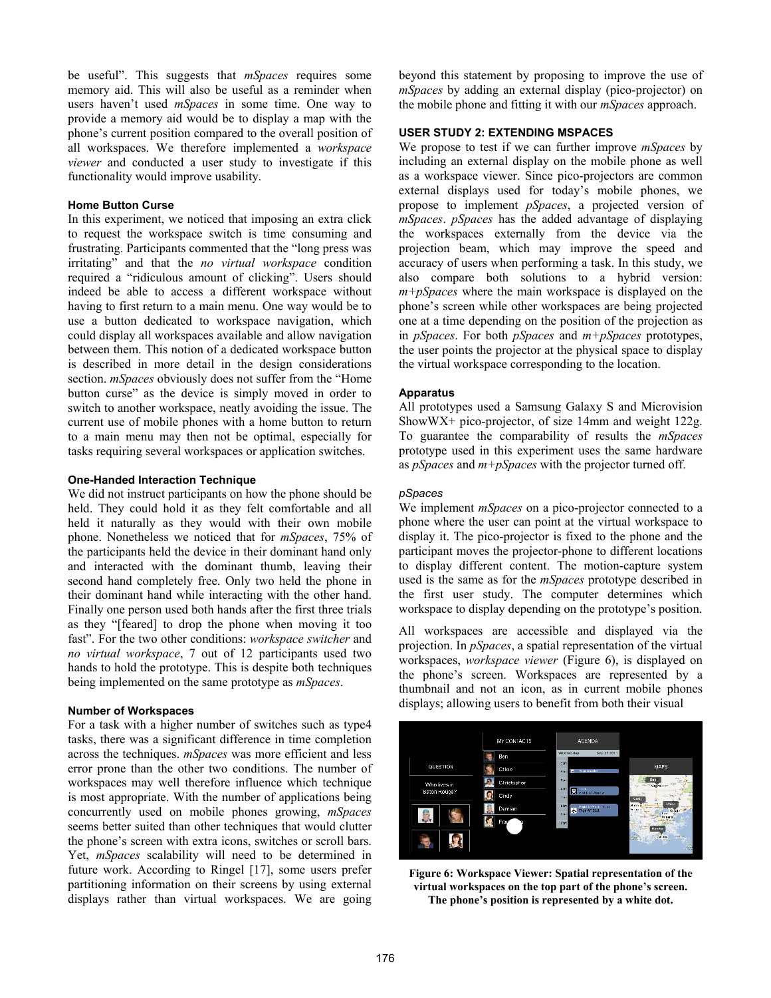be useful". This suggests that *mSpaces* requires some memory aid. This will also be useful as a reminder when users haven't used *mSpaces* in some time. One way to provide a memory aid would be to display a map with the phone's current position compared to the overall position of all workspaces. We therefore implemented a *workspace viewer* and conducted a user study to investigate if this functionality would improve usability.

### **Home Button Curse**

In this experiment, we noticed that imposing an extra click to request the workspace switch is time consuming and frustrating. Participants commented that the "long press was irritating" and that the *no virtual workspace* condition required a "ridiculous amount of clicking". Users should indeed be able to access a different workspace without having to first return to a main menu. One way would be to use a button dedicated to workspace navigation, which could display all workspaces available and allow navigation between them. This notion of a dedicated workspace button is described in more detail in the design considerations section. *mSpaces* obviously does not suffer from the "Home button curse" as the device is simply moved in order to switch to another workspace, neatly avoiding the issue. The current use of mobile phones with a home button to return to a main menu may then not be optimal, especially for tasks requiring several workspaces or application switches.

# **One-Handed Interaction Technique**

We did not instruct participants on how the phone should be held. They could hold it as they felt comfortable and all held it naturally as they would with their own mobile phone. Nonetheless we noticed that for *mSpaces*, 75% of the participants held the device in their dominant hand only and interacted with the dominant thumb, leaving their second hand completely free. Only two held the phone in their dominant hand while interacting with the other hand. Finally one person used both hands after the first three trials as they "[feared] to drop the phone when moving it too fast". For the two other conditions: *workspace switcher* and *no virtual workspace*, 7 out of 12 participants used two hands to hold the prototype. This is despite both techniques being implemented on the same prototype as *mSpaces*.

### **Number of Workspaces**

For a task with a higher number of switches such as type4 tasks, there was a significant difference in time completion across the techniques. *mSpaces* was more efficient and less error prone than the other two conditions. The number of workspaces may well therefore influence which technique is most appropriate. With the number of applications being concurrently used on mobile phones growing, *mSpaces* seems better suited than other techniques that would clutter the phone's screen with extra icons, switches or scroll bars. Yet, *mSpaces* scalability will need to be determined in future work. According to Ringel [17], some users prefer partitioning information on their screens by using external displays rather than virtual workspaces. We are going

beyond this statement by proposing to improve the use of *mSpaces* by adding an external display (pico-projector) on the mobile phone and fitting it with our *mSpaces* approach.

# **USER STUDY 2: EXTENDING MSPACES**

We propose to test if we can further improve *mSpaces* by including an external display on the mobile phone as well as a workspace viewer. Since pico-projectors are common external displays used for today's mobile phones, we propose to implement *pSpaces*, a projected version of *mSpaces*. *pSpaces* has the added advantage of displaying the workspaces externally from the device via the projection beam, which may improve the speed and accuracy of users when performing a task. In this study, we also compare both solutions to a hybrid version: *m+pSpaces* where the main workspace is displayed on the phone's screen while other workspaces are being projected one at a time depending on the position of the projection as in *pSpaces*. For both *pSpaces* and *m+pSpaces* prototypes, the user points the projector at the physical space to display the virtual workspace corresponding to the location.

# **Apparatus**

All prototypes used a Samsung Galaxy S and Microvision ShowWX+ pico-projector, of size 14mm and weight 122g. To guarantee the comparability of results the *mSpaces* prototype used in this experiment uses the same hardware as *pSpaces* and *m+pSpaces* with the projector turned off.

# *pSpaces*

We implement *mSpaces* on a pico-projector connected to a phone where the user can point at the virtual workspace to display it. The pico-projector is fixed to the phone and the participant moves the projector-phone to different locations to display different content. The motion-capture system used is the same as for the *mSpaces* prototype described in the first user study. The computer determines which workspace to display depending on the prototype's position.

All workspaces are accessible and displayed via the projection. In *pSpaces*, a spatial representation of the virtual workspaces, *workspace viewer* (Figure 6), is displayed on the phone's screen. Workspaces are represented by a thumbnail and not an icon, as in current mobile phones displays; allowing users to benefit from both their visual



**Figure 6: Workspace Viewer: Spatial representation of the virtual workspaces on the top part of the phone's screen. The phone's position is represented by a white dot.**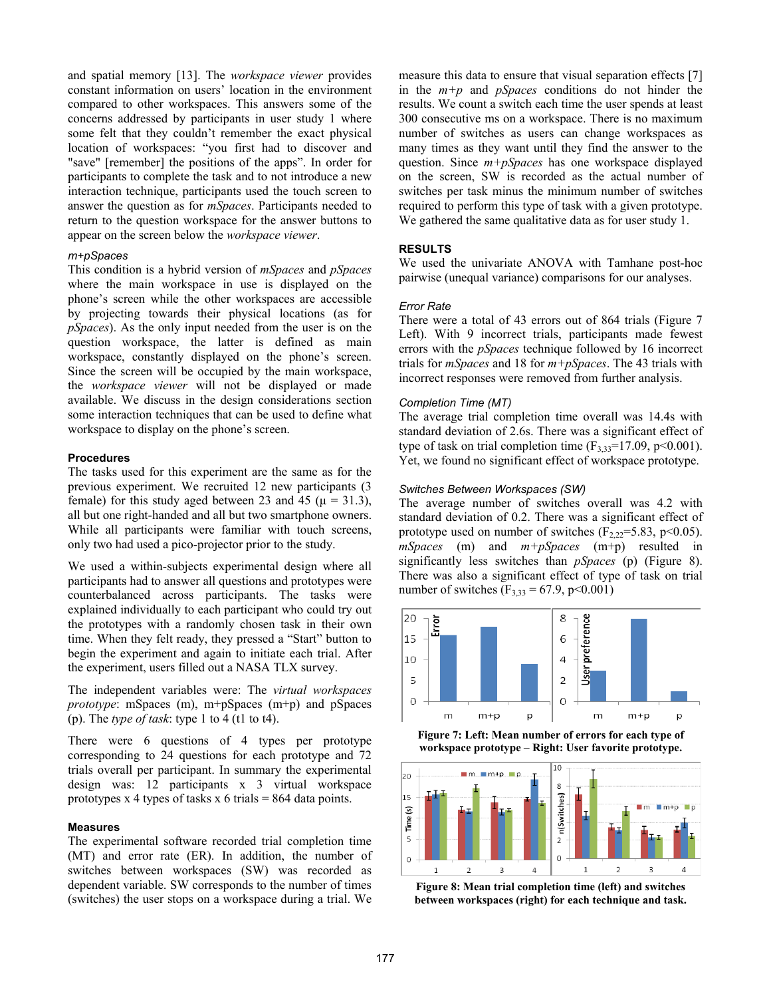and spatial memory [13]. The *workspace viewer* provides constant information on users' location in the environment compared to other workspaces. This answers some of the concerns addressed by participants in user study 1 where some felt that they couldn't remember the exact physical location of workspaces: "you first had to discover and "save" [remember] the positions of the apps". In order for participants to complete the task and to not introduce a new interaction technique, participants used the touch screen to answer the question as for *mSpaces*. Participants needed to return to the question workspace for the answer buttons to appear on the screen below the *workspace viewer*.

### *m+pSpaces*

This condition is a hybrid version of *mSpaces* and *pSpaces* where the main workspace in use is displayed on the phone's screen while the other workspaces are accessible by projecting towards their physical locations (as for *pSpaces*). As the only input needed from the user is on the question workspace, the latter is defined as main workspace, constantly displayed on the phone's screen. Since the screen will be occupied by the main workspace, the *workspace viewer* will not be displayed or made available. We discuss in the design considerations section some interaction techniques that can be used to define what workspace to display on the phone's screen.

### **Procedures**

The tasks used for this experiment are the same as for the previous experiment. We recruited 12 new participants (3 female) for this study aged between 23 and 45 ( $\mu$  = 31.3), all but one right-handed and all but two smartphone owners. While all participants were familiar with touch screens, only two had used a pico-projector prior to the study.

We used a within-subjects experimental design where all participants had to answer all questions and prototypes were counterbalanced across participants. The tasks were explained individually to each participant who could try out the prototypes with a randomly chosen task in their own time. When they felt ready, they pressed a "Start" button to begin the experiment and again to initiate each trial. After the experiment, users filled out a NASA TLX survey.

The independent variables were: The *virtual workspaces prototype*: mSpaces (m), m+pSpaces (m+p) and pSpaces (p). The *type of task*: type 1 to 4 (t1 to t4).

There were 6 questions of 4 types per prototype corresponding to 24 questions for each prototype and 72 trials overall per participant. In summary the experimental design was: 12 participants x 3 virtual workspace prototypes x 4 types of tasks x 6 trials  $= 864$  data points.

### **Measures**

The experimental software recorded trial completion time (MT) and error rate (ER). In addition, the number of switches between workspaces (SW) was recorded as dependent variable. SW corresponds to the number of times (switches) the user stops on a workspace during a trial. We

measure this data to ensure that visual separation effects [7] in the *m+p* and *pSpaces* conditions do not hinder the results. We count a switch each time the user spends at least 300 consecutive ms on a workspace. There is no maximum number of switches as users can change workspaces as many times as they want until they find the answer to the question. Since *m+pSpaces* has one workspace displayed on the screen, SW is recorded as the actual number of switches per task minus the minimum number of switches required to perform this type of task with a given prototype. We gathered the same qualitative data as for user study 1.

### **RESULTS**

We used the univariate ANOVA with Tamhane post-hoc pairwise (unequal variance) comparisons for our analyses.

### *Error Rate*

There were a total of 43 errors out of 864 trials (Figure 7 Left). With 9 incorrect trials, participants made fewest errors with the *pSpaces* technique followed by 16 incorrect trials for *mSpaces* and 18 for *m+pSpaces*. The 43 trials with incorrect responses were removed from further analysis.

### *Completion Time (MT)*

The average trial completion time overall was 14.4s with standard deviation of 2.6s. There was a significant effect of type of task on trial completion time  $(F_{3,33}=17.09, p<0.001)$ . Yet, we found no significant effect of workspace prototype.

### *Switches Between Workspaces (SW)*

The average number of switches overall was 4.2 with standard deviation of 0.2. There was a significant effect of prototype used on number of switches  $(F_{2,22}=5.83, p<0.05)$ . *mSpaces* (m) and *m+pSpaces* (m+p) resulted in significantly less switches than *pSpaces* (p) (Figure 8). There was also a significant effect of type of task on trial number of switches  $(F_{3,33} = 67.9, p<0.001)$ 



**Figure 7: Left: Mean number of errors for each type of workspace prototype – Right: User favorite prototype.** 



**Figure 8: Mean trial completion time (left) and switches between workspaces (right) for each technique and task.**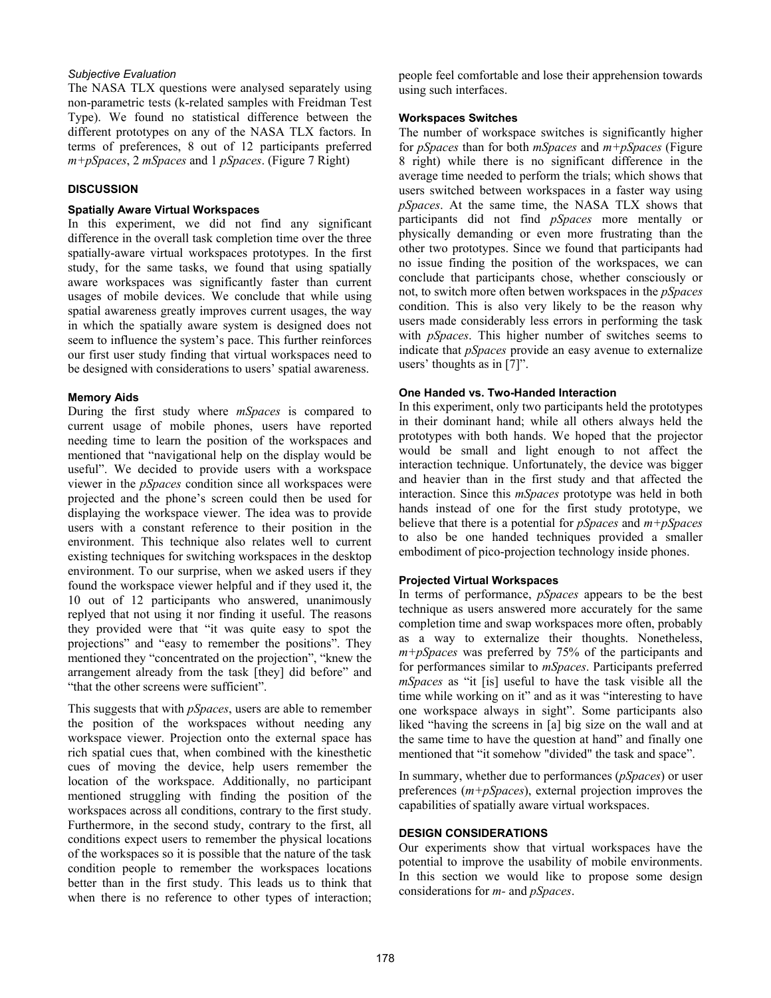### *Subjective Evaluation*

The NASA TLX questions were analysed separately using non-parametric tests (k-related samples with Freidman Test Type). We found no statistical difference between the different prototypes on any of the NASA TLX factors. In terms of preferences, 8 out of 12 participants preferred *m+pSpaces*, 2 *mSpaces* and 1 *pSpaces*. (Figure 7 Right)

### **DISCUSSION**

### **Spatially Aware Virtual Workspaces**

In this experiment, we did not find any significant difference in the overall task completion time over the three spatially-aware virtual workspaces prototypes. In the first study, for the same tasks, we found that using spatially aware workspaces was significantly faster than current usages of mobile devices. We conclude that while using spatial awareness greatly improves current usages, the way in which the spatially aware system is designed does not seem to influence the system's pace. This further reinforces our first user study finding that virtual workspaces need to be designed with considerations to users' spatial awareness.

# **Memory Aids**

During the first study where *mSpaces* is compared to current usage of mobile phones, users have reported needing time to learn the position of the workspaces and mentioned that "navigational help on the display would be useful". We decided to provide users with a workspace viewer in the *pSpaces* condition since all workspaces were projected and the phone's screen could then be used for displaying the workspace viewer. The idea was to provide users with a constant reference to their position in the environment. This technique also relates well to current existing techniques for switching workspaces in the desktop environment. To our surprise, when we asked users if they found the workspace viewer helpful and if they used it, the 10 out of 12 participants who answered, unanimously replyed that not using it nor finding it useful. The reasons they provided were that "it was quite easy to spot the projections" and "easy to remember the positions". They mentioned they "concentrated on the projection", "knew the arrangement already from the task [they] did before" and "that the other screens were sufficient".

This suggests that with *pSpaces*, users are able to remember the position of the workspaces without needing any workspace viewer. Projection onto the external space has rich spatial cues that, when combined with the kinesthetic cues of moving the device, help users remember the location of the workspace. Additionally, no participant mentioned struggling with finding the position of the workspaces across all conditions, contrary to the first study. Furthermore, in the second study, contrary to the first, all conditions expect users to remember the physical locations of the workspaces so it is possible that the nature of the task condition people to remember the workspaces locations better than in the first study. This leads us to think that when there is no reference to other types of interaction; people feel comfortable and lose their apprehension towards using such interfaces.

### **Workspaces Switches**

The number of workspace switches is significantly higher for *pSpaces* than for both *mSpaces* and *m+pSpaces* (Figure 8 right) while there is no significant difference in the average time needed to perform the trials; which shows that users switched between workspaces in a faster way using *pSpaces*. At the same time, the NASA TLX shows that participants did not find *pSpaces* more mentally or physically demanding or even more frustrating than the other two prototypes. Since we found that participants had no issue finding the position of the workspaces, we can conclude that participants chose, whether consciously or not, to switch more often betwen workspaces in the *pSpaces* condition. This is also very likely to be the reason why users made considerably less errors in performing the task with *pSpaces*. This higher number of switches seems to indicate that *pSpaces* provide an easy avenue to externalize users' thoughts as in [7]".

# **One Handed vs. Two-Handed Interaction**

In this experiment, only two participants held the prototypes in their dominant hand; while all others always held the prototypes with both hands. We hoped that the projector would be small and light enough to not affect the interaction technique. Unfortunately, the device was bigger and heavier than in the first study and that affected the interaction. Since this *mSpaces* prototype was held in both hands instead of one for the first study prototype, we believe that there is a potential for *pSpaces* and *m+pSpaces* to also be one handed techniques provided a smaller embodiment of pico-projection technology inside phones.

# **Projected Virtual Workspaces**

In terms of performance, *pSpaces* appears to be the best technique as users answered more accurately for the same completion time and swap workspaces more often, probably as a way to externalize their thoughts. Nonetheless, *m+pSpaces* was preferred by 75% of the participants and for performances similar to *mSpaces*. Participants preferred *mSpaces* as "it [is] useful to have the task visible all the time while working on it" and as it was "interesting to have one workspace always in sight". Some participants also liked "having the screens in [a] big size on the wall and at the same time to have the question at hand" and finally one mentioned that "it somehow "divided" the task and space".

In summary, whether due to performances (*pSpaces*) or user preferences (*m+pSpaces*), external projection improves the capabilities of spatially aware virtual workspaces.

### **DESIGN CONSIDERATIONS**

Our experiments show that virtual workspaces have the potential to improve the usability of mobile environments. In this section we would like to propose some design considerations for *m-* and *pSpaces*.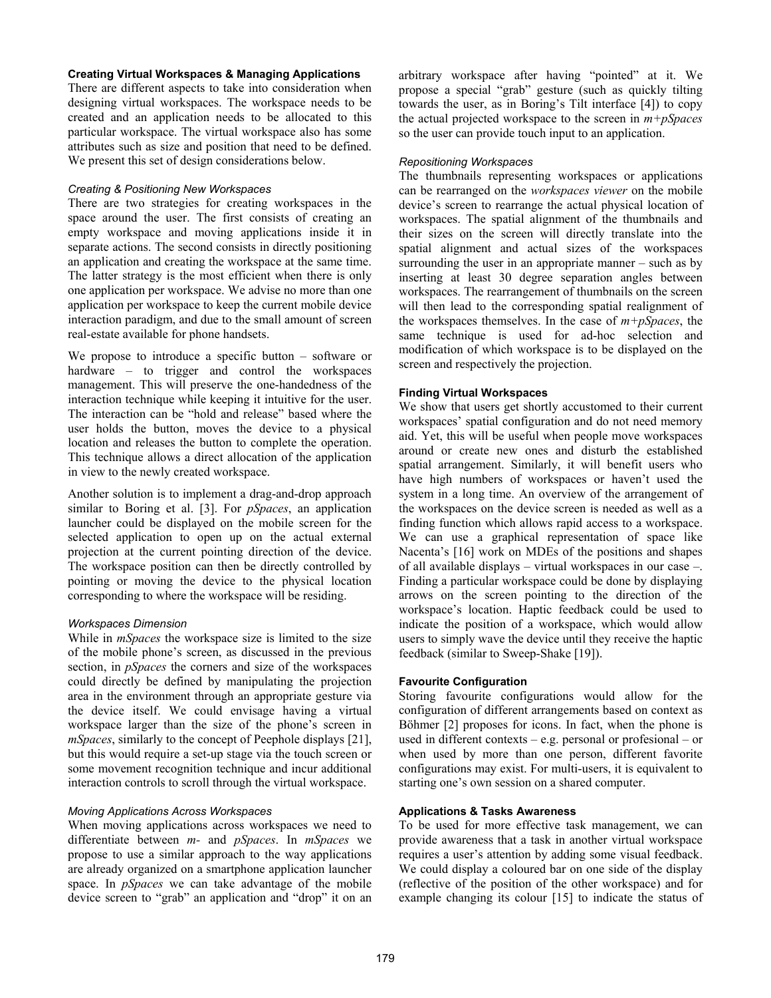### **Creating Virtual Workspaces & Managing Applications**

There are different aspects to take into consideration when designing virtual workspaces. The workspace needs to be created and an application needs to be allocated to this particular workspace. The virtual workspace also has some attributes such as size and position that need to be defined. We present this set of design considerations below.

### *Creating & Positioning New Workspaces*

There are two strategies for creating workspaces in the space around the user. The first consists of creating an empty workspace and moving applications inside it in separate actions. The second consists in directly positioning an application and creating the workspace at the same time. The latter strategy is the most efficient when there is only one application per workspace. We advise no more than one application per workspace to keep the current mobile device interaction paradigm, and due to the small amount of screen real-estate available for phone handsets.

We propose to introduce a specific button – software or hardware – to trigger and control the workspaces management. This will preserve the one-handedness of the interaction technique while keeping it intuitive for the user. The interaction can be "hold and release" based where the user holds the button, moves the device to a physical location and releases the button to complete the operation. This technique allows a direct allocation of the application in view to the newly created workspace.

Another solution is to implement a drag-and-drop approach similar to Boring et al. [3]. For *pSpaces*, an application launcher could be displayed on the mobile screen for the selected application to open up on the actual external projection at the current pointing direction of the device. The workspace position can then be directly controlled by pointing or moving the device to the physical location corresponding to where the workspace will be residing.

# *Workspaces Dimension*

While in *mSpaces* the workspace size is limited to the size of the mobile phone's screen, as discussed in the previous section, in *pSpaces* the corners and size of the workspaces could directly be defined by manipulating the projection area in the environment through an appropriate gesture via the device itself. We could envisage having a virtual workspace larger than the size of the phone's screen in *mSpaces*, similarly to the concept of Peephole displays [21], but this would require a set-up stage via the touch screen or some movement recognition technique and incur additional interaction controls to scroll through the virtual workspace.

# *Moving Applications Across Workspaces*

When moving applications across workspaces we need to differentiate between *m-* and *pSpaces*. In *mSpaces* we propose to use a similar approach to the way applications are already organized on a smartphone application launcher space. In *pSpaces* we can take advantage of the mobile device screen to "grab" an application and "drop" it on an arbitrary workspace after having "pointed" at it. We propose a special "grab" gesture (such as quickly tilting towards the user, as in Boring's Tilt interface [4]) to copy the actual projected workspace to the screen in *m+pSpaces* so the user can provide touch input to an application.

### *Repositioning Workspaces*

The thumbnails representing workspaces or applications can be rearranged on the *workspaces viewer* on the mobile device's screen to rearrange the actual physical location of workspaces. The spatial alignment of the thumbnails and their sizes on the screen will directly translate into the spatial alignment and actual sizes of the workspaces surrounding the user in an appropriate manner – such as by inserting at least 30 degree separation angles between workspaces. The rearrangement of thumbnails on the screen will then lead to the corresponding spatial realignment of the workspaces themselves. In the case of *m+pSpaces*, the same technique is used for ad-hoc selection and modification of which workspace is to be displayed on the screen and respectively the projection.

# **Finding Virtual Workspaces**

We show that users get shortly accustomed to their current workspaces' spatial configuration and do not need memory aid. Yet, this will be useful when people move workspaces around or create new ones and disturb the established spatial arrangement. Similarly, it will benefit users who have high numbers of workspaces or haven't used the system in a long time. An overview of the arrangement of the workspaces on the device screen is needed as well as a finding function which allows rapid access to a workspace. We can use a graphical representation of space like Nacenta's [16] work on MDEs of the positions and shapes of all available displays – virtual workspaces in our case –. Finding a particular workspace could be done by displaying arrows on the screen pointing to the direction of the workspace's location. Haptic feedback could be used to indicate the position of a workspace, which would allow users to simply wave the device until they receive the haptic feedback (similar to Sweep-Shake [19]).

# **Favourite Configuration**

Storing favourite configurations would allow for the configuration of different arrangements based on context as Böhmer [2] proposes for icons. In fact, when the phone is used in different contexts – e.g. personal or profesional – or when used by more than one person, different favorite configurations may exist. For multi-users, it is equivalent to starting one's own session on a shared computer.

# **Applications & Tasks Awareness**

To be used for more effective task management, we can provide awareness that a task in another virtual workspace requires a user's attention by adding some visual feedback. We could display a coloured bar on one side of the display (reflective of the position of the other workspace) and for example changing its colour [15] to indicate the status of